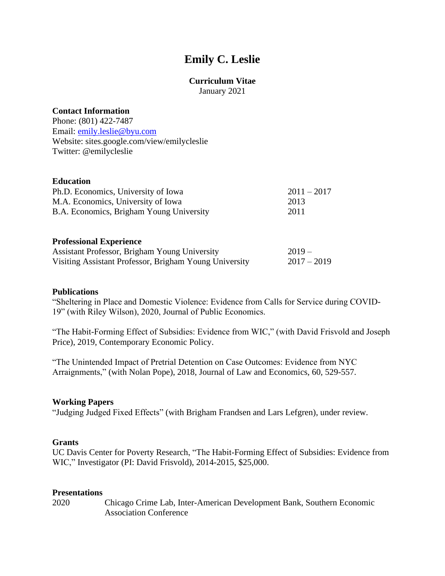# **Emily C. Leslie**

# **Curriculum Vitae**

January 2021

# **Contact Information**

Phone: (801) 422-7487 Email: [emily.leslie@byu.com](mailto:emily.leslie@byu.com) Website: sites.google.com/view/emilycleslie Twitter: @emilycleslie

## **Education**

| Ph.D. Economics, University of Iowa      | $2011 - 2017$ |
|------------------------------------------|---------------|
| M.A. Economics, University of Iowa       | 2013          |
| B.A. Economics, Brigham Young University | 2011          |

#### **Professional Experience**

| Assistant Professor, Brigham Young University          | $2019-$       |
|--------------------------------------------------------|---------------|
| Visiting Assistant Professor, Brigham Young University | $2017 - 2019$ |

#### **Publications**

"Sheltering in Place and Domestic Violence: Evidence from Calls for Service during COVID-19" (with Riley Wilson), 2020, Journal of Public Economics.

"The Habit-Forming Effect of Subsidies: Evidence from WIC," (with David Frisvold and Joseph Price), 2019, Contemporary Economic Policy.

"The Unintended Impact of Pretrial Detention on Case Outcomes: Evidence from NYC Arraignments," (with Nolan Pope), 2018, Journal of Law and Economics, 60, 529-557.

## **Working Papers**

"Judging Judged Fixed Effects" (with Brigham Frandsen and Lars Lefgren), under review.

## **Grants**

UC Davis Center for Poverty Research, "The Habit-Forming Effect of Subsidies: Evidence from WIC," Investigator (PI: David Frisvold), 2014-2015, \$25,000.

# **Presentations**

2020 Chicago Crime Lab, Inter-American Development Bank, Southern Economic Association Conference